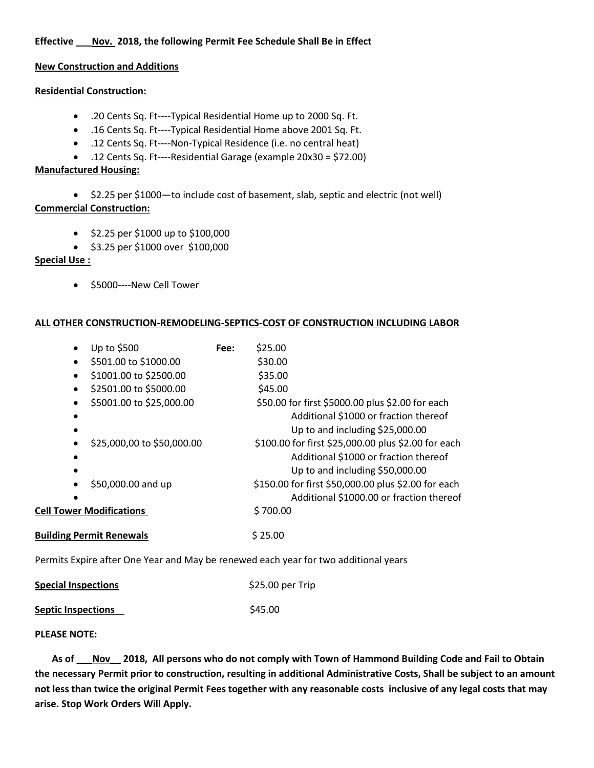**Effective \_\_\_Nov. 2018, the following Permit Fee Schedule Shall Be in Effect**

# **New Construction and Additions**

### **Residential Construction:**

- .20 Cents Sq. Ft----Typical Residential Home up to 2000 Sq. Ft.
- .16 Cents Sq. Ft----Typical Residential Home above 2001 Sq. Ft.
- .12 Cents Sq. Ft----Non-Typical Residence (i.e. no central heat)
- .12 Cents Sq. Ft----Residential Garage (example 20x30 = \$72.00)

### **Manufactured Housing:**

• \$2.25 per \$1000—to include cost of basement, slab, septic and electric (not well) **Commercial Construction:**

- \$2.25 per \$1000 up to \$100,000
- \$3.25 per \$1000 over \$100,000

# **Special Use :**

• \$5000----New Cell Tower

# **ALL OTHER CONSTRUCTION-REMODELING-SEPTICS-COST OF CONSTRUCTION INCLUDING LABOR**

|                                 | Up to \$500                     | Fee: | \$25.00                                                                                                                         |
|---------------------------------|---------------------------------|------|---------------------------------------------------------------------------------------------------------------------------------|
|                                 | \$501.00 to \$1000.00           |      | \$30.00                                                                                                                         |
|                                 | \$1001.00 to \$2500.00          |      | \$35.00                                                                                                                         |
| $\bullet$                       | \$2501.00 to \$5000.00          |      | \$45.00                                                                                                                         |
|                                 | \$5001.00 to \$25,000.00        |      | \$50.00 for first \$5000.00 plus \$2.00 for each<br>Additional \$1000 or fraction thereof<br>Up to and including \$25,000.00    |
|                                 | \$25,000,00 to \$50,000.00      |      | \$100.00 for first \$25,000.00 plus \$2.00 for each<br>Additional \$1000 or fraction thereof<br>Up to and including \$50,000.00 |
|                                 | \$50,000.00 and up              |      | \$150.00 for first \$50,000.00 plus \$2.00 for each<br>Additional \$1000.00 or fraction thereof                                 |
| <b>Cell Tower Modifications</b> |                                 |      | \$700.00                                                                                                                        |
|                                 | <b>Building Permit Renewals</b> |      | \$25.00                                                                                                                         |

Permits Expire after One Year and May be renewed each year for two additional years

| <b>Special Inspections</b> | \$25.00 per Trip |
|----------------------------|------------------|
| <b>Septic Inspections</b>  | \$45.00          |

#### **PLEASE NOTE:**

 **As of \_\_\_Nov\_\_ 2018, All persons who do not comply with Town of Hammond Building Code and Fail to Obtain the necessary Permit prior to construction, resulting in additional Administrative Costs, Shall be subject to an amount not less than twice the original Permit Fees together with any reasonable costs inclusive of any legal costs that may arise. Stop Work Orders Will Apply.**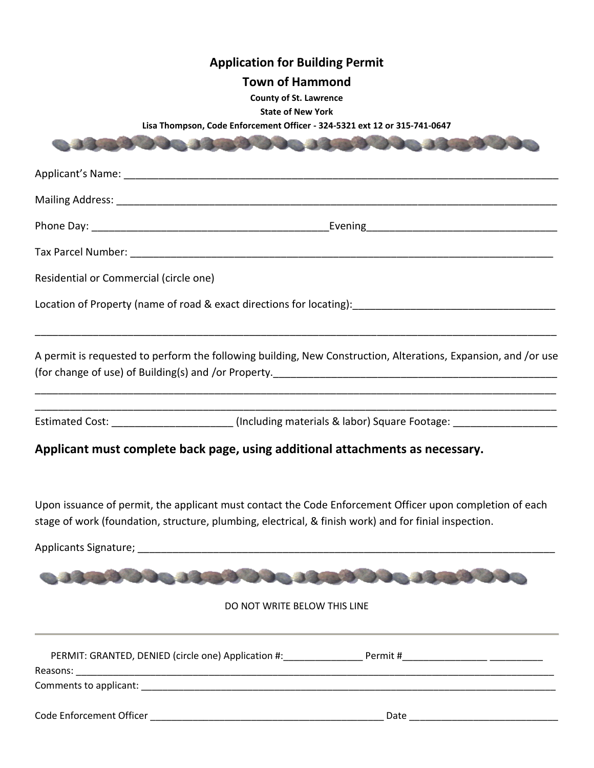| <b>Application for Building Permit</b><br><b>Town of Hammond</b><br><b>County of St. Lawrence</b><br><b>State of New York</b><br>Lisa Thompson, Code Enforcement Officer - 324-5321 ext 12 or 315-741-0647        |
|-------------------------------------------------------------------------------------------------------------------------------------------------------------------------------------------------------------------|
|                                                                                                                                                                                                                   |
|                                                                                                                                                                                                                   |
|                                                                                                                                                                                                                   |
|                                                                                                                                                                                                                   |
|                                                                                                                                                                                                                   |
| Residential or Commercial (circle one)                                                                                                                                                                            |
| Location of Property (name of road & exact directions for locating): [19] Location of Property (name of road & exact directions for locating):                                                                    |
| A permit is requested to perform the following building, New Construction, Alterations, Expansion, and /or use                                                                                                    |
| Estimated Cost: ______________________(Including materials & labor) Square Footage: _______________                                                                                                               |
| Applicant must complete back page, using additional attachments as necessary.                                                                                                                                     |
| Upon issuance of permit, the applicant must contact the Code Enforcement Officer upon completion of each<br>stage of work (foundation, structure, plumbing, electrical, & finish work) and for finial inspection. |
|                                                                                                                                                                                                                   |
|                                                                                                                                                                                                                   |
| DO NOT WRITE BELOW THIS LINE                                                                                                                                                                                      |
|                                                                                                                                                                                                                   |
|                                                                                                                                                                                                                   |